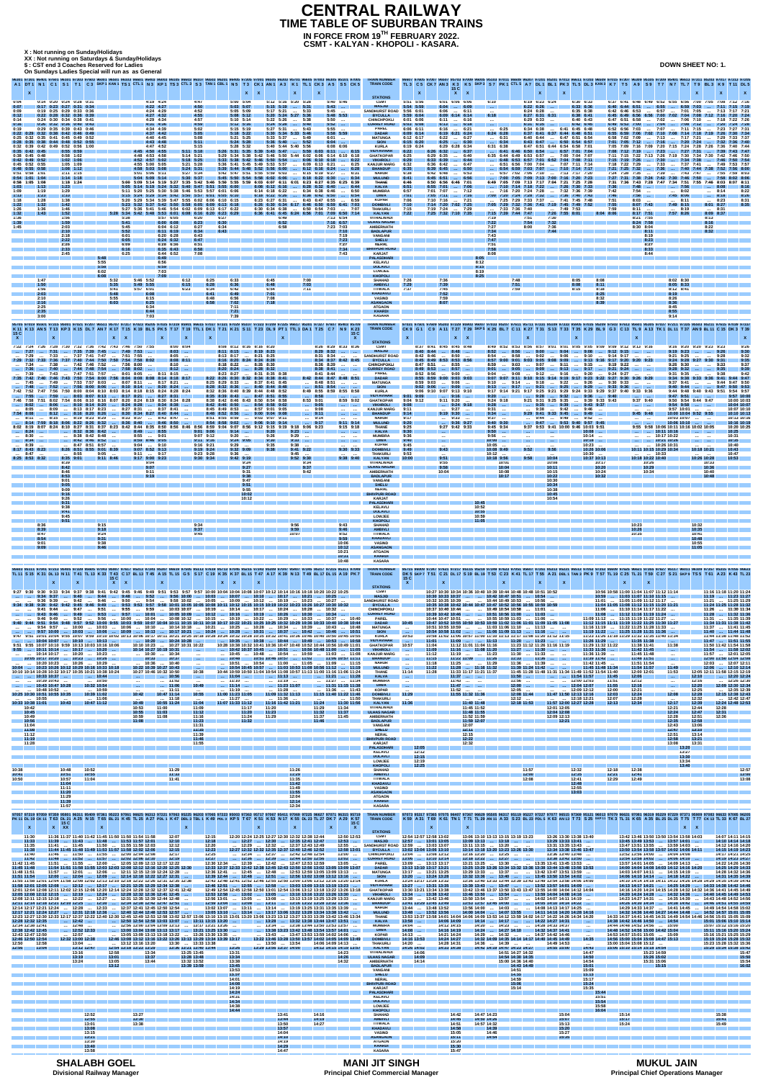**X : Not running on Sunday/Holidays**

**CSMT - KALYAN - KHOPOLI - KASARA. IN FORCE FROM 19TH FEBRUARY 2022.**

**XX : Not running on Saturdays & Sunday/Holidays XX : Not running on Saturdays & Sunday/Holidays\$ : CST end 3 Coaches Reserved for Ladies**

## **TIME TABLE OF SUBURBAN TRAINS CENTRAL RAILWAY**

**On Sundays Ladies Special will run as as General**

**DOWN SHEET NO: 1.**

| 0:14 0:20 0:24 0:28 0:31<br>0:04<br>0:07<br>$0:17$ $0:23$ $0:27$ $0:31$ $0:34$<br>0:19 0:25 0:29 0:33 0:36<br>0:09<br>$0:22$ $0:28$ $0:32$ $0:36$ $0:39$<br>0:12<br>0:14<br>0:24 0:30 0:34 0:38 0:41<br>0:16<br>$0:26$ $0:32$ $0:36$ $0:40$ $0:43$<br>0:29 0:35 0:39 0:43 0:46<br>0:19<br>$0:22$ $0:29$ $0:32$ $0:38$ $0:42$ $0:46$ $0:49$<br>0:25 0:32 0:35 0:41 0:45 0:49 0:52<br>$0:28$ $0:35$ $0:38$ $0:44$ $0:48$ $0:52$ $0:55$<br>0:32 0:39 0:42 0:49 0:52 0:56 1:00<br>$0:35$ $0:42$ $0:45$<br>$0:38$ $0:45$ $0:48$<br>$0:42$ $0:49$ $0:52$<br>0:45 0:52 0:55<br>$0:48$ $0:55$ $0:58$<br>0:51 0:58 1:01<br>$0:54$ 1:01 1:04<br>0:58 1:05 1:08<br>1:23<br>1:13<br>1:03<br>1:19<br>1:29<br>1:09<br>1:33<br>1:23<br>1:13<br>1:28<br>1:18<br>1:38<br>1:32<br>1:42<br>1:22<br>1:36<br>1:46<br>1:26<br>1:43<br>1:52<br>1:32<br>1:36<br>1:56<br>1:59<br>1:39<br>2:03<br>1:45<br>2:10<br>2:18<br>2:22<br>2:26<br>2:33<br>2:45 | $0:55$ 0:59<br>$0:58$ 1:02<br>$1:02$ 1:06<br>1:05 1:09<br>$1:08$ 1:12<br>$1:11$ $1:15$<br>$1:14$ 1:18<br>$1:18$ 1:24<br>5:48<br>5:55<br>5:58<br>6:02                                                                                                                                                                                                                                                                                                                                                                                                                                                                                                                                                                                                                                                                                                                                                                                                                                                                                                                                                                                                                                               | 4:19 4:24<br>$4:22$ 4:27<br>4:24 4:29<br>4:27 4:32<br>4:29 4:34<br>$4:31$ 4:36<br>4:34 4:39<br>$4:37$ $4:42$<br>4:40 4:45<br>$4:43 \quad 4:48$<br>4:47 4:52<br>$4:45$ 4:50 4:55<br>4:48 4:53 4:58<br>4:52 4:57 5:02<br>4:55 5:00 5:05<br>4:58 5:03 5:08<br>5:01 5:06 5:11<br>$5:04$ $5:09$ $5:14$<br>5:57 6:05<br>5:38<br>5:41<br>$6:00$ $6:08$<br>5:45<br>6:04 6:12<br>5:52<br>$6:11$ 6:19<br>6:01<br>6:20 6:28<br>6:05<br>$6:24$ $6:32$<br>6:28 6:36<br>6:09<br>6:16<br>6:35 6:43<br>6:25<br>6:44 6:52<br>6:49<br>6:56<br>6:59<br>7:03                                                                             | 96301 97301 96401 97601 96101 97303 97603 96001 96501 96103 96601 96403 96003 96105 96603 96107 96503 96201 96405 97305 97001 96505 96303 95701<br>5:00 5:04<br>4:47<br>4:50<br>$5:03$ $5:07$<br>4:52<br>5:05 5:09<br>4:55<br>$5:08$ $5:12$<br>4:57<br>5:10 5:14<br>4:59<br>$5:12$ $5:16$<br>5:02<br>5:15 5:19<br>5:05<br>$5:18$ $5:22$<br>5:21 5:25<br>5:08<br>5:11<br>$5:24$ $5:28$<br>5:15<br>5:28 5:32<br>$5:11$ $5:18$<br>$5:14$ $5:21$<br>5:29 5:34 5:38<br>$5:18$ $5:25$<br>5:21 5:28<br>$5:24$ $5:31$<br>5:27 5:34<br>$5:30$ $5:37$<br>5:05 5:14 5:19 5:24 5:32 5:40 5:47 5:51 5:55 6:00<br>5:11 5:20 5:25 5:30 5:38 5:46 5:53 5:57 6:01 6:06<br>5:15 5:24 5:29 5:34 5:42 5:50 5:57 6:01 6:05 6:10<br>5:29 5:34 5:39 5:47 5:55 6:02 6:06 6:10 6:15<br>5:23 5:32 5:37 5:42 5:50 5:58 6:05 6:09 6:13 6:18<br>5:27 5:36 5:41 5:46 5:54 6:02 6:09 6:13 6:17 6:22<br>5:28 5:34 5:42 5:48 5:53 6:01 6:08 6:16 6:20 6:23 6:29<br>6:20<br>6:27<br>6:30<br>6:23<br>6:27<br>6:34<br>6:34<br>6:43<br>6:43<br>6:47<br>6:51<br>6:58<br>7:08 | A1 DT1 N1 C1 S1 T1 C3 SKP1 KAN1 TS1 CTL1 N3 KP1 TS3 CTL3 S3 TAN1 CBL1 N5 T3 CK1 AN1 A3 K1 TL1 CK3 A5 S5 CK5<br>X<br>5:12 5:16 5:20 5:28<br>5:40 5:46<br>$\vert 5:15 \vert 5:19 \vert  \vert 5:31 \vert$<br>$5:43$<br>5:17 5:21  5:33<br>$5:45$<br>5:20 5:24 5:27 5:36<br>$5:48$ $5:53$<br>5:22 5:26<br>$\ldots$ 5:38<br>$5:50$<br>$5:52$<br>$5:24$ $5:28$ $5:40$<br>$\ldots$ 5:43<br>$5:55$<br>5:27 5:31<br>5:30 5:34 5:33 5:46<br>5:58 5:59<br>$\ldots$ 5:49<br>5:33 5:37<br>$6:01$<br>$\dots$ 5:52<br>$6:04$<br>$5:36$ $5:40$<br>5:40 5:44 5:40 5:56<br>6:08 6:06<br>5:26 5:31 5:35 5:39 5:43 5:47  5:59 6:03 6:11  6:15<br>5:42 5:46 5:50 5:44 6:02 6:06<br>5:33 5:38 5:42 5:46 5:50 5:54  6:06 6:10 6:18  6:22<br>5:36 5:41 5:45 5:49 5:53 5:57<br>6:09 6:13 6:21<br>$\sim$ . The set of $\sim$<br>5:39 5:44 5:48 5:52 5:56 6:00<br>$\ldots$ 6:12 6:16 6:24<br>5:42 5:47 5:51 5:55 5:59 6:03<br>$\ldots$ 6:15 6:19 6:27<br>$5:45$ 5:50 5:54 5:58 6:02 6:06<br>$6:18$ 6:22 6:30<br>$\sim$<br>5:00 5:09 5:14 5:19 5:27 5:35 5:42 5:46 5:50 5:55 5:59 6:03 6:07 6:11 6:01 6:23 6:27 6:35 6:25 6:39<br>6:08 6:12 6:16  6:28 6:32 6:40<br>6:14 6:18 6:22<br>6:34 6:38 6:46<br>$\mathbf{r}$<br>$6:18$ $6:22$ $6:26$ $6:38$ $6:42$ $6:50$<br>6:23 6:27 6:31<br>6:43 6:47 6:55<br>$\cdots$<br>6:26 6:30 6:34 6:17 6:46 6:50 6:59 6:41 7:03<br>$6:30$ $6:34$ $6:38$<br>$\dots$ 6:50 6:54 7:03 $\dots$ 7:07<br>6:36 6:41 6:45 6:24 6:56 7:01 7:09 6:50 7:14<br>7:13 6:54<br>6:49<br>6:52<br>7:16 6:57<br>6:58<br>7:23 7:03                                                                                                                                                                                                                                                                                                                                                                                                                                                                                                                                                                                                                                                                                                                                                                       | <b>TRAIN NUMBI</b><br><b>TRAIN CODE</b><br><b>STATIONS</b><br><b>CSMT</b><br><b>MASJID</b><br>SANDHURST ROAD 5:56 6:01<br><b>BYCULLA</b><br><b>CHINCHPOKLI</b><br><b>CURREY ROAD</b><br><b>PAREL</b><br><b>DADAR</b><br><b>MATUNGA</b><br><b>SION</b><br><b>KURLA</b><br><b>VIDYAVIHAR</b><br><b>GHATKOPAR</b><br>6:14 6:10 6:18<br><b>VIKHROLI</b><br>6:25<br><b>KANJUR MARG</b><br><b>BHANDUP</b><br>$\dots$ 6:28<br>$\dots$ 6:31<br><b>NAHUR</b><br><b>MULUND</b><br>6:34<br><b>THANE</b><br><b>KALVA</b><br>$\ldots$ 6:44<br><b>MUMBRA</b><br>$\dots$ 6:50<br><b>DIWA</b><br>$\dots$ 6:54<br>$\ldots$ 6:59<br><b>KOPAR</b><br><b>DOMBIVLI</b><br><b>THAKURLI</b><br><b>KALYAN</b><br><b>VITHALWADI</b><br><b>ULHAS NAGAR</b><br><b>AMBERNATH</b><br>7:10<br><b>BADLAPUR</b><br>7:19<br><b>VANGANI</b><br>7:23<br><b>SHELU</b><br>7:27<br><b>NERAL</b><br>7:34<br><b>BHIVPURI ROAD</b><br><b>KARJAT</b><br>7:43<br><b>PALASDHAR</b><br><b>KELAVLI</b><br><b>DOLAVLI</b><br><b>LOWJEE</b>                                                                                                                                                                                                               | 15 C<br>$X$ $X$<br>5:51 5:56<br>6:01 6:06 6:06<br>5:54 5:59<br>$6:04$ 6:09<br>$6:06$ $6:11$<br>5:59 6:04<br>$6:09$ $6:14$ $6:14$<br>6:01 6:06<br>6:11<br>$6:03$ 6:08<br>$6:13$ 6:18<br>6:06 6:11<br>6:16  6:21<br>$6:09$ $6:14$<br>$6:19$ $6:21$ $6:24$<br>6:22<br>6:12 6:17<br>6:25<br>$6:15$ $6:20$<br>6:29 6:28 6:34<br>6:19 6:24<br>6:22<br>$6:26$ 6:32  6:37<br>6:29 6:35<br>6:25<br>$6:33$ $6:39$<br>6:29<br>6:36 6:42<br>6:32<br>6:35<br>$6:39$ $6:45$<br>6:38<br>6:42 6:48<br>$6:45$ 6:51<br>6:41<br>6:50 6:56 6:46 7:01<br>6:46<br>6:51<br>6:55 7:01  7:06<br>6:57<br>7:01 7:07<br>7:05 7:11  7:16<br>7:01<br>7:06<br>7:10 7:16  7:21<br>7:10<br>7:14 7:20 7:02 7:25<br>7:19 7:24  7:29<br>7:15<br>7:22<br>$7:25$ 7:32 7:10 7:35    | 6:19 6:23 6:24<br>6:10<br>$6:22$ $6:26$<br><b>Contract</b><br>$6:24$ $6:28$<br>$\sim 100$<br>6:27 6:31 6:31<br>6:18<br>$\ldots$ 6:16<br>$6:29$ $6:33$<br>$\sim 1000$<br>$6:31 \ 6:35 \ \ldots$<br><b>Section</b><br>$\ldots$ 6:25<br>6:34 6:38<br>$6:24$ 6:28<br>$\ldots$ 6:27<br>$\ldots$ 6:31<br>$\ldots$ 6:30<br>$\dots$ 6:34<br>$6:43 \quad 6:47 \quad \dots$<br>6:31 6:38<br>$\dots$ 6:41 6:46 6:50 6:54 $\dots$ 6:57 7:01 7:04<br>$\ldots$ 6:40<br>6:49 6:53 6:57<br>6:35 6:44<br>$\ldots$ 6:44<br>$\ldots$ 6:48 6:53 6:57 7:01 6:52 7:04 7:08 7:11<br>$\ldots$ 6:47<br>$\ldots$ 6:50<br>$\ldots$ 6:54 6:59 7:03 7:07 $\ldots$ 7:10 7:14 7:17<br>$\dots$ 6:53<br>$6:57$ 7:02 7:06 7:10  7:13 7:17 7:20<br>$\ldots$ 6:56<br>6:49 7:05 7:09 7:13 7:17 7:04 7:21 7:25 7:28<br>7:10 7:14 7:18 7:22  7:26 7:30 7:33<br>$\dots$ 7:12<br>7:16 7:20 7:24 7:28<br>7:00 7:20 7:24 7:28 7:32  7:36 7:40 7:43<br>7:25 7:29 7:33 7:37  7:41 7:45 7:48<br>7:05 7:29 7:32 7:36 7:41 7:19 7:45 7:49 7:52<br>$\ldots$ 7:33 7:36 7:40<br>7:15 7:39 7:44 7:47<br>7:19<br>7:51<br>7:22<br>7:54<br>7:27<br>8:00<br>7:34<br>7:43<br>7:47<br>7:51<br>7:58<br>8:08<br>8:12<br>8:15<br>8:19                                                                                                                                                                                                   | 6:30 6:33<br>$6:33$ $6:36$<br>6:35 6:38<br>$6:38$ 6:41<br>6:40 6:43<br>$6:42$ 6:45<br>$\dots$ 6:41 6:45 6:48<br>6:37 6:41 6:37 6:44 6:48 6:51<br>6:40 6:44  6:47 6:51 6:54<br>6:50 6:54 6:57<br>6:47 6:51 6:44 6:54 6:58 7:01<br>7:00 7:04 7:07<br>$\sim$ $\sim$<br>6:51 6:56 7:00 7:04  7:07 7:11 7:14<br>7:00 7:05 7:09 7:13 7:00 7:16 7:20 7:23<br>7:36<br>7:32 7:36 7:39<br>7:42<br>7:46<br>7:51<br>7:55<br>$$ 7:49 7:53<br>7:59<br>7:26 7:55 8:01<br>$8:04$ $8:06$<br>7:30<br>7:32<br>7:36<br>7:44                                                                                                                                                                                                                                                                                                                                                                                                                                                                                                                                                                                                                                                                                        | 96507 95703 97009 96005 95103 97011 96609 96307 97201 95201 97013 96611 97203 96509 97015 97307 96309 95105 97309 95401 96613 97311 95203 97017 97313 97205 97309 95401 96613 97311 95203 97017 97313 97205<br>TL3 C5 CK7 AN3 K3 K5 SKP3 S7 PK1 CTL5 A7 DL1 BL1 PK3 TL5 DL3 KAN3 K7 T5 A9 S9 T7 N7 TL7 T9 BL3 K9 T11 DL5<br>6:37 6:41 6:48 6:49 6:52 6:55 6:56 7:00 7:05 7:08 7:12 7:16<br>6:40 6:44 6:51  6:55  6:59 7:03  7:11 7:15 7:19<br>6:42 6:46 6:53  6:57  7:01 7:05  7:13 7:17 7:21<br>6:45 6:49 6:56 6:56 7:00 7:02 7:04 7:08 7:12 7:16 7:20 7:24<br>6:47 6:51 6:58<br>$$ 7:06 7:10<br>$\ldots$ 7:02<br>$\ldots$ 7:18 7:22 7:26<br>$6:49$ 6:53 7:00<br>7:04  7:08 7:12  7:20 7:24 7:28<br>$\ldots$ 7:11 7:15<br>6:52 6:56 7:03<br>…  7:07<br>$\dots$ 7:23 7:27 7:31<br>6:55 6:59 7:06 7:02 7:10 7:08 7:14 7:18 7:19 7:26 7:30 7:34<br>6:58 7:02 7:09<br>7:13  7:17 7:21  7:29 7:33 7:37<br>7:01 7:05 7:12<br>$\dots$ 7:16 $\dots$ 7:20 7:24<br>$\dots$ 7:32 7:36 7:40<br>7:05 7:09 7:16 7:09 7:20 7:15 7:24 7:28 7:26 7:36 7:40 7:44<br>7:08 7:12 7:19  7:23  7:27 7:31  7:39 7:43 7:47<br>7:11 7:15 7:22 7:13 7:26 7:19 7:30 7:34 7:30 7:42 7:46 7:50<br>7:15 7:19 7:26<br>7:30  7:34 7:38  7:46 7:50 7:54<br>7:18 7:22 7:29<br>7:37 7:41  7:49 7:53 7:57<br>7:33<br>7:21 7:25 7:32<br>$\ldots$ 7:36 $\ldots$ 7:40 7:44 7:38 7:52 7:56 8:00<br>7:24 7:28 7:35<br>… 7:39<br>$\ldots$ 7:43 7:47<br>$\ldots$ 7:55 7:59 8:03<br>7:27 7:31 7:38 7:24 7:42 7:30 7:46 7:50<br>$8:02$ 8:06<br>7:31 7:36 7:43 7:28 7:47 7:34 7:51 7:55 7:46 8:03<br>$8:07$ $8:11$<br>7:48<br>$\ldots$ 7:56<br> 8:08<br>8:16<br>7:54<br>8:02<br>8:22<br>8:14<br>7:58<br>8:26<br>$\sim 100$<br>$7:45$ 8:06<br>$\dots$ 8:18<br>8:31<br>8:03<br>8:11<br>8:23<br>$\sim$<br>8:35<br>$8:07$ 7:43<br>$7:49$ 8:15<br>$8:01$ $8:27$<br>$8:11$<br>$\ldots$ 8:19<br>$$ 8:31<br>8:09 8:37<br>$8:17$ 7:51<br>7:57 8:26<br>8:21 7:55<br>8:13<br>8:24 7:58<br>8:16<br>8:30 8:04<br>8:22<br>8:32<br>8:11<br>8:19<br>8:23<br>8:27<br>8:33<br>8:44                                                                   |
|------------------------------------------------------------------------------------------------------------------------------------------------------------------------------------------------------------------------------------------------------------------------------------------------------------------------------------------------------------------------------------------------------------------------------------------------------------------------------------------------------------------------------------------------------------------------------------------------------------------------------------------------------------------------------------------------------------------------------------------------------------------------------------------------------------------------------------------------------------------------------------------------------------------------------|----------------------------------------------------------------------------------------------------------------------------------------------------------------------------------------------------------------------------------------------------------------------------------------------------------------------------------------------------------------------------------------------------------------------------------------------------------------------------------------------------------------------------------------------------------------------------------------------------------------------------------------------------------------------------------------------------------------------------------------------------------------------------------------------------------------------------------------------------------------------------------------------------------------------------------------------------------------------------------------------------------------------------------------------------------------------------------------------------------------------------------------------------------------------------------------------------|----------------------------------------------------------------------------------------------------------------------------------------------------------------------------------------------------------------------------------------------------------------------------------------------------------------------------------------------------------------------------------------------------------------------------------------------------------------------------------------------------------------------------------------------------------------------------------------------------------------------|----------------------------------------------------------------------------------------------------------------------------------------------------------------------------------------------------------------------------------------------------------------------------------------------------------------------------------------------------------------------------------------------------------------------------------------------------------------------------------------------------------------------------------------------------------------------------------------------------------------------------------------------------------------------------------------------------------------------------------------------------------------------------------------------------------------------------------------------------------------------------------------------------------------------------------------------------------------------------------------------------------------------------------------|--------------------------------------------------------------------------------------------------------------------------------------------------------------------------------------------------------------------------------------------------------------------------------------------------------------------------------------------------------------------------------------------------------------------------------------------------------------------------------------------------------------------------------------------------------------------------------------------------------------------------------------------------------------------------------------------------------------------------------------------------------------------------------------------------------------------------------------------------------------------------------------------------------------------------------------------------------------------------------------------------------------------------------------------------------------------------------------------------------------------------------------------------------------------------------------------------------------------------------------------------------------------------------------------------------------------------------------------------------------------------------------------------------------------------------------------------------------------------------------------------------------------------------------------------------------------------------------------------------------------------------------------------------------------------------------------------------------------------------------------------------------------------------------------------------------------------------------------------------------------------------------------------------------------------------------------------------------------------------------------------------------------------------------------------------------------------------------------------------------------------------------------------------------------------------------------------------------------------------------------------------------------------------------------|-----------------------------------------------------------------------------------------------------------------------------------------------------------------------------------------------------------------------------------------------------------------------------------------------------------------------------------------------------------------------------------------------------------------------------------------------------------------------------------------------------------------------------------------------------------------------------------------------------------------------------------------------------------------------------------------------------------------------------------------------------------------------------------------------------------------------------------------------------------------------------------------------------------------------------------------------------------------------------------------------------------------------------------------------------------------------------------------------------------------------------------------------------------------------------------------------------------|----------------------------------------------------------------------------------------------------------------------------------------------------------------------------------------------------------------------------------------------------------------------------------------------------------------------------------------------------------------------------------------------------------------------------------------------------------------------------------------------------------------------------------------------------------------------------------------------------------------------------------------------------------------------------------------------------------------------------------------------|----------------------------------------------------------------------------------------------------------------------------------------------------------------------------------------------------------------------------------------------------------------------------------------------------------------------------------------------------------------------------------------------------------------------------------------------------------------------------------------------------------------------------------------------------------------------------------------------------------------------------------------------------------------------------------------------------------------------------------------------------------------------------------------------------------------------------------------------------------------------------------------------------------------------------------------------------------------------------------------------------------------------------------------------------------------------------------------------------------------------------------------------------------------------------------------------------------------------------------------------------------------------------------------------------------------------------------------------------------------------------|------------------------------------------------------------------------------------------------------------------------------------------------------------------------------------------------------------------------------------------------------------------------------------------------------------------------------------------------------------------------------------------------------------------------------------------------------------------------------------------------------------------------------------------------------------------------------------------------------------------------------------------------------------------------------------------------------------------------------------------------------------------------------------------------------------------------------------------------------------------------------------------------------------------------------------------------------------------------------------------------------------------------------------------------------------------------------------------------------------------------------------------------------------------------------------------------|--------------------------------------------------------------------------------------------------------------------------------------------------------------------------------------------------------------------------------------------------------------------------------------------------------------------------------------------------------------------------------------------------------------------------------------------------------------------------------------------------------------------------------------------------------------------------------------------------------------------------------------------------------------------------------------------------------------------------------------------------------------------------------------------------------------------------------------------------------------------------------------------------------------------------------------------------------------------------------------------------------------------------------------------------------------------------------------------------------------------------------------------------------------------------------------------------------------------------------------------------------------------------------------------------------------------------------------------------------------------------------------------------------------------------------------------------------------------------------------------------------------------------------------------------------------------------------------------------------------------------------------------------------------------------------------------------------------------------------------------------------------------------------------------------------------------------------------------------------------------------------------------------------------------------------------------------------------------------------------------------------------------------------------------------------------------------------------|
| 1:47<br>1:50<br>1:56<br>2:03<br>2:10<br>2:16<br>2:25<br>2:35<br>3:00                                                                                                                                                                                                                                                                                                                                                                                                                                                                                                                                                                                                                                                                                                                                                                                                                                                         | 6:08<br>5:32<br>5:35<br>5:41<br>5:48<br>5:55<br>6:03                                                                                                                                                                                                                                                                                                                                                                                                                                                                                                                                                                                                                                                                                                                                                                                                                                                                                                                                                                                                                                                                                                                                               | 7:09<br>5:46 5:52<br>$5:49$ 5:55<br>5:57 6:01<br>6:08<br>6:15<br>6:25<br>6:34<br>6:44<br>7.03                                                                                                                                                                                                                                                                                                                                                                                                                                                                                                                        | 6:12<br>6:25<br>6:33<br>6:36<br>6:15<br>6:28<br>6:23<br>6:34<br>6:42<br>6:41<br>6:49<br>6:56<br>6:48<br>7:02<br>6:58<br>7:11<br>7:21<br>7:39<br>95705 97019 95501 97315 95001 97021 97207 96511 95707 97317 97023 95205 97025 97319 95901 96615 97027 97321 97029 95107 97323 97209 97325 96617                                                                                                                                                                                                                                                                                                                                                                                                                                                                                                                                                                                                                                                                                                                                        | 6:45<br>7۰0۵.<br>טע. ו<br>6:48<br>7:03<br>6:54<br>7:11<br>7:01<br>7:08<br>7:18<br>K11 K13 AN 5 T13 KP3 K15 DL7 AN 7 K17 T15 K19 BL5 PK5 T17 T19 TTL1 DK1 T21 K21 S11 T23 DL9 PT1 TTL3 DA1 T25 C7 N9 K23                                                                                                                                                                                                                                                                                                                                                                                                                                                                                                                                                                                                                                                                                                                                                                                                                                                                                                                                                                                                                                                                                                                                                                                                                                                                                                                                                                                                                                                                                                                                                                                                                                                                                                                                                                                                                                                                                                                                                                                                                                                                                    | <b>KHOPOLI</b><br><b>SHAHAD</b><br><b>AMBIVLI</b><br><b>TITWALA</b><br><b>KHADAVLI</b><br><b>VASIND</b><br><b>ASANGAON</b><br><b>ATGAON</b><br><b>KHARDI</b><br><b>KASARA</b><br><b>TRAIN NUMBE</b><br><b>TRAIN CODE</b>                                                                                                                                                                                                                                                                                                                                                                                                                                                                                                                                                                                                                                                                                                                                                                                                                                                                                                                                                                                  | 7:26<br>7.36<br>טט. ו<br>7:29<br>7:39<br>7:37<br>7:45<br>7:52<br>7:59<br>8:07                                                                                                                                                                                                                                                                                                                                                                                                                                                                                                                                                                                                                                                                | 8:25<br>7:48<br>7:51<br>7:59                                                                                                                                                                                                                                                                                                                                                                                                                                                                                                                                                                                                                                                                                                                                                                                                                                                                                                                                                                                                                                                                                                                                                                                                                                                                                                                                               | 8:05<br><b>8.U8</b><br>8:08<br>8:11<br>8:15<br>8:18<br>8:25<br>8:32<br>8:39                                                                                                                                                                                                                                                                                                                                                                                                                                                                                                                                                                                                                                                                                                                                                                                                                                                                                                                                                                                                                                                                                                                    | 8:02 8:30<br>$8:05$ 8:33<br>8:12 8:41<br>8:19<br>8:26<br>8:36<br>8:45<br>8:55<br>9:14<br>97033 95207 97611 95711 97331 95109 97333 95905 97035 95209 97503 97613 95601 95305 97037 97211 97335 95503 95211<br>CK9 G1 C9 A11 T27 T29 SKP5 K25 BL7 C11 K27 T31 S13 T35 K29 BL9 G3 C13 TL9 A13 TK1 DL11 T37 AN9 BL11 C15 DK3 T39                                                                                                                                                                                                                                                                                                                                                                                                                                                                                                                                                                                                                                                                                                                                                                                                                                                                                                                                                                                                                                                                                                                                                                                                                                                                                                                                                                                                                                                                                                                                                                                                                                                                                                                                                        |
| $\mathbf{X}$<br>$\dots$ 7:27<br>$\ldots$ 7:29<br>7:34<br>7:38<br>$\ldots$ 7:36<br>7:39<br>7:43<br>7:35 7:42<br>$\ldots$ 7:45<br>7:49<br>$\mathbf{r}$<br>$\ldots$ 7:48<br>7:52<br>7:42 7:52<br>7:47<br>$\ldots$ 7:55<br>7:59<br>7:46 7:58<br>$\dots$ 8:02<br>8:09<br>8:12<br>$\dots$ 8:11<br>8:15<br>$8:02$ $8:19$<br>$\ldots$ 8:24<br>$$ 8:30<br>$\ldots$ 8:34<br>$$ 8:39<br>$\cdots$<br>8:17 8:43 8:23<br>$\dots$ 8:47<br>$\ddotsc$<br>$8:25$ $8:53$ $8:32$<br>8:39<br>8:42<br>8:46<br>8:53<br>9:01<br>-9:05<br>9:09<br>9:26<br>9:31<br>9:38                                                                                                                                                                                                                                                                                                                                                                                | $\mathbf{X}$<br>7:22 7:24 7:26 7:28 7:30 7:32 7:36 7:42 7:43 7:46 7:50 7:55<br>7:31  7:35 7:39 7:45  7:49 7:53<br>$7:33$ $7:37$ 7:41 7:47  7:51 7:55<br>7:29 7:32 7:33 7:36 7:37 7:40 7:44 7:50 7:50 7:54 7:58 8:02<br>$\ldots$ 7:42 7:46 7:52 $\ldots$ 7:56 8:00<br>$7:40$ $7:44$ 7:48 7:54  7:58 8:02<br>$\ldots$ 7:47 7:51 7:57<br>7:40 7:46 7:43 7:50 7:54 8:00 7:56 8:04 8:08 8:08<br>7:53 7:57 8:03  8:07 8:11  8:17 8:21<br>$\ldots$ 7:56 8:00 8:06 $\ldots$ 8:10 8:14<br>7:56 7:50 8:00 8:04 8:10 8:03 8:14 8:18 8:15 8:24 8:28 8:24<br>8:03 8:07 8:13  8:17 8:21  8:27 8:31<br>8:02 7:54 8:06 8:10 8:16 8:07 8:20 8:24 8:19 8:30 8:34 8:28<br>$\ldots$ 8:10 8:14 8:20 $\ldots$ 8:24 8:28 $\ldots$ 8:34 8:38<br>$8:13$ $8:17$ $8:23$ $8:27$ $8:31$<br>$\ldots$ 8:16 8:20 8:26 $\ldots$<br>$8:19$ $8:23$ $8:29$ $8:33$ $8:37$ $8:43$ $8:47$<br>8:18 8:06 8:22 8:26 8:32<br><b>Section</b><br>8:24 8:10 8:27 8:31 8:37 8:23 8:42 8:44 8:35 8:50 8:56 8:46 8:56 8:59 9:04<br>$\dots$ 8:32 8:36 8:42<br>$$ 8:38 8:42 8:48<br>$\ldots$ 8:42 8:46 8:52<br><b>Contract</b><br>$\dots$ 8:47 8:51 8:57 $\dots$<br>8:26 8:51 8:55 9:01 8:39<br>$\ldots$ 8:55<br>$9:05$<br>$8:35$ 9:01<br>$9:11$ 8:46 | $\ldots$ 8:01 8:05<br>$\dots$ 8:11 8:15 $\dots$<br>8:14 8:18 8:17<br>$8:20$ $8:24$<br>$\dots$ 8:37 8:41 $\dots$<br>8:30 8:34 8:27 8:40 8:44<br>$8:36$ 8:40<br>$8:46$ $8:50$<br><b>Section</b><br>$8:49$ 8:55<br>8:55  9:01<br>8:59 8:46 9:05<br>$9:04$ $9:10$<br>$9:07$ 8:52 9:13<br>9:11  9:17<br>$9:17$ $9:00$ $9:23$<br>9:04<br>9:11<br>9.19                                                                                                                                                                                                                                                                      | 8:00 8:04<br>8:08 8:12 8:16 8:16 8:20<br>$8:03$<br>$8:11$ $8:15$ $8:19$ $8:23$<br>$8:05$<br>8:13 8:17  8:21 8:25<br>8:08 8:11<br>$8:16$ 8:20 8:24 8:24 8:28<br>$8:10$<br>8:18 8:22<br>$8:12$<br>$8:20$ $8:24$ $8:28$ $8:32$<br>8:23 8:27<br>8:22 8:26 8:30 8:32 8:34 8:38 8:41<br>8:25 8:29 8:33  8:37 8:41 8:45<br>8:28 8:32 8:36  8:40 8:44 8:48<br>8:32 8:36 8:40 8:39 8:44 8:48 8:52<br>8:35 8:39 8:43  8:47 8:51 8:55<br>8:38 8:42 8:46 8:43 8:50 8:54 8:58<br>$8:42$ 8:46 8:50  8:54 8:58 9:02<br>8:45 8:49 8:53<br>8:48 8:52 8:56  9:00 9:04 9:08<br>8:51 8:55 8:59<br>8:54 8:58 9:02<br>$9:14$<br>$9:01$ $9:06$<br>$9:07$ $9:12$<br>9:20<br>$9:11$ $9:16$<br>$9:24$ 9:05<br>$9:29$<br>$9:16$ $9:21$<br>$9:32$ $9:09$<br>$9:19$ $9:24$<br>$9:23$ $9:28$<br>$9:36$<br>$9:30$ $9:34$<br>$9:42$ $9:19$<br>9:24<br>9:27<br>9:31<br>9:38<br>9:47<br>9:55<br>10:12                                                                                                                                                                    | 8:26 8:29 8:33 8:36<br>$8:29$ $8:32$<br>8:31 8:34<br>8:34 8:37 8:42 8:45<br>$\dots$ 8:26 8:30<br>$8:36$ $8:39$<br>$8:38$ $8:41$<br>$\dots$ 8:31 8:35 8:38<br>8:41 8:44<br>8:42 8:44 8:47 8:48 8:51<br>$$ 8:48 8:51<br>$\dots$ 8:51 8:54<br>8:49 8:55 8:59 8:55 8:58<br>$\dots$ 8:58<br>8:53 9:01<br>$\ldots$ 9:05<br>$\ldots$ 8:57 9:01 9:05<br>9:08<br>$\ldots$ 9:11<br>$$ 9:03 9:07 9:11<br>$\dots$ 9:14<br>$9:06$ $9:10$ $9:14$<br>$\ldots$ 9:17<br>9:07 8:56 9:12 9:15 9:19 9:18 9:06 9:23<br>9:20<br>9:23<br><b>Section</b><br>9:26<br>$9:29$<br>9:33<br>9:30<br><b>Section</b><br>9:35<br>$9:38$<br>9:38<br>$9:41$ $9:22$<br>$9:45$<br>$9:52$ 9:30<br>9:34<br>9:37<br>9:42                                                                                                                                                                                                                                                                                                                                                                                                                                                                                                                                                                                                                                                                                                                                                                                                                                                                                                                                                                                                                                                                                                                                                                                                                                                                                                                                                                                                                                                                                                                                                                                                           | <b>STATIONS</b><br><b>CSMT</b><br><b>MASJID</b><br><b>Contract Contract</b><br><b>SANDHURST ROAD</b><br>and the same<br><b>BYCULLA</b><br><b>CHINCHPOKLI</b><br>$\sim$<br>$\sim$<br><b>CURREY ROAD</b><br><b>Contract Contract</b><br><b>PAREL</b><br><b>DADAR</b><br><b>MATUNGA</b><br>$\mathbf{r}$ and $\mathbf{r}$ are all $\mathbf{r}$<br><b>SION</b><br><b>Contract Contract</b><br><b>KURLA</b><br><b>VIDYAVIHAR</b><br>and the same<br><b>GHATKOPAR</b><br>8:59 9:02<br><b>VIKHROLI</b><br><b>Second Contract</b><br><b>KANJUR MARG</b><br><b>ALC: 1999</b><br><b>BHANDUP</b><br><b>Contract Contract</b><br><b>NAHUR</b><br>$\mathbf{r}$ and $\mathbf{r}$ are all $\mathbf{r}$<br>$9:11$ $9:14$<br><b>MULUND</b><br>$9:15$ $9:18$<br><b>THANE</b><br><b>KALVA</b><br>المنباب المنبية<br><b>MUMBRA</b><br>المنباب المنبا<br><b>DIWA</b><br><b>KOPAR</b><br>$\mathbf{r}$ and $\mathbf{r}$ are all $\mathbf{r}$<br>$9:30$ $9:33$<br><b>DOMBIVLI</b><br><b>THAKURLI</b><br>and the same<br><b>KALYAN</b><br>$9:38$ $9:40$<br><b>VITHALWADI</b><br><b>ULHAS NAGAR</b><br><b>AMBERNATH</b><br><b>BADI APUR</b><br><b>VANGANI</b><br><b>NERAI</b><br><b>KARJAT</b><br><b>PALASDHAR</b><br><b>KELAVLI</b> | 8:37 8:41 8:45 8:45 8:48<br>$8:40$ $8:44$<br>$\dots$ 8:48 $\dots$<br>8:42 8:46  8:50<br>8:45 8:49 8:53 8:53 8:56<br>$8:55$<br>8:47 8:51<br>$\sim 10^{-1}$<br>$\ldots$ 8:57 $\ldots$<br>$8:49$ $8:53$<br>$9:00$<br>8:52 8:56<br>$\sim$ . $\sim$<br>8:55 8:59 9:00 9:03 9:03<br>$\ldots$ 9:06 $\ldots$<br>8:59 9:03<br>$\ldots$ 9:09 $\ldots$<br>$9:02$ 9:06<br>9:06 9:10 9:07 9:13 9:10<br>$\ldots$ 9:16 $\ldots$<br>$9:01$ $9:09$<br>9:04 9:12<br>9:11 9:20<br>$9:24$ 9:18<br>9:08<br>9:11<br>$\ldots$ 9:27 $\ldots$<br>9:14<br>$9:19$ $9:30$<br>$\ldots$ 9:33<br>9:17<br>9:20<br>$9:36$ $9:27$<br>9:25<br>9:27 9:42 9:33<br>9:30<br>9:36<br>9:40<br>9:45<br>9:43<br>9:49<br>9:53<br>$\sim$ $\sim$<br>9:51<br>10:00<br>9:55<br>9:58<br>10:04 | 8:59<br>9:03<br>$\mathbf{r}$<br>9:05<br>$9:01$<br>9:08<br>9:10<br>$\sim$ 100 $\sim$<br>9:17<br>9:13<br>9:20<br>$\sim$ 100 $\sim$<br>$9:24$ $9:18$<br>$9:28$<br>$9:31$<br>$9:34$<br><b>Contract</b><br>$9:37$<br>$\ldots$ 9:44 $\ldots$<br>$9:40$ $9:30$<br>$\dots$ 9:47<br>9:45 9:34<br>$9:50$<br>$9:56$<br>10:00<br>$\sim 100$<br><b>Section</b><br>$10:05$<br>$\sim 100$<br>9:52<br>10:08 9:49<br>$10:12$<br>$\sim 100$<br>10:18 9:56<br>9:58<br>10:01<br>10:04<br>10:08<br>10:17<br>10:52                                                                                                                                                                                                                                                                                                                                                                                                                                                                                                                                                                                                                                                                                                                                                                                                                                                                               | 8:49 8:52 8:53 8:56 8:57 9:01 9:01 9:05 9:05 9:09 9:09 9:12 9:13 9:16<br>8:52  8:56  9:00  9:04  9:08  9:12 9:15<br>8:54  8:58  9:02  9:06  9:10  9:14 9:17<br>8:57 9:00 9:01 9:03 9:05 9:08 9:09  9:13 9:16 9:17 9:20 9:20 9:23<br>$9:07$ $9:11$ $9:15$ $9:19$ $9:22$<br>9:09  9:13  9:17  9:21 9:24<br>9:12  9:16  9:20<br>$\ldots$ 9:24 9:27<br>9:07 9:07 9:11 9:10 9:15 9:14 9:19 9:17 9:23 9:22 9:27 9:30 9:26 9:29<br>9:14  9:18  9:22  9:26  9:30 9:33<br>$\dots$ 9:21 $\dots$ 9:25<br>$\dots$ 9:29<br>$\dots$ 9:33 9:36<br>9:17 9:14 9:21 9:17 9:25 9:21 9:29 9:24 9:33 9:29 9:37 9:40 9:33 9:36<br>9:28  9:32  9:36  9:40<br>9:21 9:31 9:25 9:35<br>$\ldots$ 9:39 9:33 9:43<br>$\ldots$ 9:35 $\ldots$ 9:39 $\ldots$ 9:43 9:37<br>$9:38$ $9:42$<br>$\ldots$ 9:46 $\ldots$<br>$9:29$ $9:41$ $9:33$ $9:45$<br>$\ldots$ 9:49 $\ldots$<br>9:49<br>$\ldots$ 9:52 $\ldots$<br>$\ldots$ 9:53 9:40 9:57 9:45<br>9:37 9:53 9:41 10:00 9:46 10:03 9:51<br>10:08<br>$10:14$<br>10:18<br>$10:23$<br>$\sim 100$<br>9:56<br>10:26 10:06<br>$10:30$<br>$\sim 100$<br>10:04<br>10:37 10:13<br>10:08<br>10:17<br>10:20<br>10:11<br>10:15<br>10:24<br>10:22<br>10:32<br>10:30<br>10:38<br>10:45<br>10:54 | 9:16 9:20 9:20 9:23 9:23<br>9:26<br>9:30<br>9:19 9:23   9:26<br>9:21 9:25   9:28<br>9:32<br>9:35<br>9:24 9:28 9:27 9:30 9:31<br>$9:26$ $9:30$<br>9:37<br>$\dots$ $\dots$ 9:33<br>$\mathbf{r}$ and $\mathbf{r}$ and $\mathbf{r}$<br>9:39<br>9:28 9:32   9:35<br><b>Contract Contract</b><br>9:31 9:35<br>9:42<br>9:38<br>$\sim$ $\sim$ $\sim$<br>$\mathbf{r}$ and $\mathbf{r}$ are all $\mathbf{r}$<br>9:34 9:38 9:33 9:36 9:41 9:44 9:47<br>9:37 9:41<br>$\dots$ $\dots$ 9:44 9:47 9:50<br>$\cdots$ $\cdots$<br>$9:40$ $9:44$<br>$9:47$ $9:50$ $9:53$<br><b>Contract Contract</b><br>9:44 9:48 9:40 9:43 9:51<br>9:54 9:57<br>9:47 9:51<br>9:57 10:00<br><b>Service Contracts</b><br>10:00 10:03<br>9:37 9:40<br>9:50 9:54 9:44 9:47<br>$9:54$ $9:58$<br>10:04 10:07<br><b>Contract Contract</b><br>$9:57$ 10:01<br>10:07 10:10<br>$\mathbf{1}_{\mathbf{1}}$ , $\mathbf{1}_{\mathbf{1}}$ , $\mathbf{1}_{\mathbf{1}}$ , $\mathbf{1}_{\mathbf{1}}$ , $\mathbf{1}_{\mathbf{1}}$<br>10:00 10:04 9:52 9:55<br>10:10 10:13<br>$9:45$ $9:48$<br>10:03 10:07<br>10:13 10:16<br>$\mathbf{r}$ , and $\mathbf{r}$ , and $\mathbf{r}$<br>10:16 10:19<br>10:06 10:10<br><b>Contract Contract</b><br><b>Contract Contract</b><br>10:20 10:25<br>9:55 9:58 10:06 10:11 10:16 10:02 10:05<br>10:25<br>10:11 10:16<br><b>Section Contract</b><br>10:17 10:22<br>10:31<br>$\mathbf{r}$ and $\mathbf{r}$ are all $\mathbf{r}$<br>10:35<br>10:21 10:26<br><b>Carl Court</b><br>$\ldots$ $\ldots$ 10:26 10:31<br>10:40<br>$\mathbf{r}$ and $\mathbf{r}$ are all $\mathbf{r}$<br>10:18 10:21<br>10:43<br>10:11 10:15 10:29 10:34<br>$\dots$ $\dots$ 10:33<br>10:47<br>$\mathcal{L}(\mathbf{r},\mathbf{r})$ , and $\mathcal{L}(\mathbf{r},\mathbf{r})$<br>10:53<br>10:18 10:22 10:40<br>10:26 10:28<br>10:26<br>10:33<br>10:29<br>10:36<br>10:34<br>10:40<br>10:48<br><b>Contract Contract</b>                                                                                                                                                                                                              |
| 9:41<br>9:45<br>9:51<br>8:36<br>8:39<br>8:47<br>8:54<br>9:01<br>9:09                                                                                                                                                                                                                                                                                                                                                                                                                                                                                                                                                                                                                                                                                                                                                                                                                                                         | 9:15<br>9:18<br>9:24<br>9:31<br>9:38<br>9:46                                                                                                                                                                                                                                                                                                                                                                                                                                                                                                                                                                                                                                                                                                                                                                                                                                                                                                                                                                                                                                                                                                                                                       |                                                                                                                                                                                                                                                                                                                                                                                                                                                                                                                                                                                                                      | 9:34<br>9.37<br>9:45                                                                                                                                                                                                                                                                                                                                                                                                                                                                                                                                                                                                                                                                                                                                                                                                                                                                                                                                                                                                                   | 9:56<br>9:59<br>10:07                                                                                                                                                                                                                                                                                                                                                                                                                                                                                                                                                                                                                                                                                                                                                                                                                                                                                                                                                                                                                                                                                                                                                                                                                                                                                                                                                                                                                                                                                                                                                                                                                                                                                                                                                                                                                                                                                                                                                                                                                                                                                                                                                                                                                                                                      | <b>DOLAVLI</b><br><b>LOWJEE</b><br><b>KHOPOLI</b><br><b>SHAHAD</b><br>9:43<br>9:46<br><b>AMBIVL</b><br>9:52<br><b>TITWALA</b><br>9:59<br><b>KHADAVLI</b><br><b>VASIND</b><br>10:06<br>10:12<br><b>ASANGAON</b><br>10:21<br><b>ATGAON</b><br>10:31<br><b>KHARDI</b><br><b>KASARA</b><br>10:48                                                                                                                                                                                                                                                                                                                                                                                                                                                                                                                                                                                                                                                                                                                                                                                                                                                                                                              |                                                                                                                                                                                                                                                                                                                                                                                                                                                                                                                                                                                                                                                                                                                                              | 10:55<br>10:59<br>11:05                                                                                                                                                                                                                                                                                                                                                                                                                                                                                                                                                                                                                                                                                                                                                                                                                                                                                                                                                                                                                                                                                                                                                                                                                                                                                                                                                    |                                                                                                                                                                                                                                                                                                                                                                                                                                                                                                                                                                                                                                                                                                                                                                                                                                                                                                                                                                                                                                                                                                                                                                                                | 10:23<br>10:32<br>10:26<br>10:35<br>10:35<br>10:41<br>10:48<br>10:55<br>11:05                                                                                                                                                                                                                                                                                                                                                                                                                                                                                                                                                                                                                                                                                                                                                                                                                                                                                                                                                                                                                                                                                                                                                                                                                                                                                                                                                                                                                                                                                                                                                                                                                                                                                                                                                                                                                                                                                                                                                                                                        |
| $9:34$ $9:37$ $9:40$<br>9:36 9:39<br>9:41<br>9:44  9:47<br>$\sim 100$<br>$9:54$ $9:57$<br>$9:57$ 10:00<br>10:04 10:07  10:10<br>9:51 9:55 10:07 10:10 9:59 10:13 10:03 10:16 10:06<br>$10:11$ 10:14  10:17<br>9:55<br>10:14 10:17<br>10:05 10:17 10:20<br>10:20 10:23<br>$\sim$<br>$\cdots$<br>10:10 10:14<br>10:33 10:37<br>10:39 10:43<br>$\dots$ $\dots$ 10:43 10:47 10:28<br>… 10:48 10:52 …<br>10:25 10:30 10:51 10:55 10:35<br>10:55<br>$\sim$ 100 $\sim$<br>10:33 10:38 11:01<br>10:43<br>10:42<br>10:45<br>10:49<br>10:56<br>11:04<br>11:08<br>11:12<br>11:19<br>11:28<br>10:48<br>10:38<br>10:51<br>10:41<br>10:50<br>10:57<br>11:04<br>11:11<br>11:20<br>11:29<br>11:39<br>11:57                                                                                                                                                                                                                                   | 15 <sub>C</sub><br>$\mathbf{X}$<br>9:42  9:46<br>9:51<br>$\sim 100$<br>$\begin{array}{ c c c c c c c c } \hline 9:49 & \dots & 9:53 \hline \end{array}$<br>$\sim 100$<br>$\ldots$ 9:56<br>9:52<br>$\sim 100$<br>10:00  10:03  10:06<br>$\dots$ 10:03<br>$\dots$ 10:13<br>$\ldots$ 10:20<br>$\dots$ 10:20<br>$\dots$ 10:23 $\dots$<br>10:26<br>10:23<br>$\dots$ 10:29 $\dots$<br>10:26<br>10:23 10:26 10:12 10:29 10:16 10:33 10:18<br>10:28 10:32 10:17 10:35 10:21 10:38 10:24<br>$\dots$ 10:44<br>$$ 10:50<br>10:32 10:54<br>$\dots$ 10:59<br>10:39 11:02<br>$$ 11:06<br>10:47 11:12<br>10:52<br>10:55<br>11:04                                                                                                                                                                                                                                                                                                                                                                                                                                                                                                                                                                                  | 9:44  9:48  9:52  9:56 10:00<br>9:50<br>9:55<br>9:59<br>$\sim$<br>$9:57$ 10:01<br>10:00<br>10:04  10:08 10:12<br>$\sim 100$<br>10:09<br>10:13<br>$\ldots$ 10:20 $\ldots$ 10:24 10:28<br>10:10 10:23  10:27 10:31 10:22<br>10:14 10:27 10:19 10:31<br>10:30<br>$\dots$ 10:34<br>10:33<br>10:37<br>$\ldots$ 10:36 $\ldots$ 10:40<br>10:22 10:39 10:27 10:43<br>10:27 10:46 10:32 10:50<br>$\ldots$ 10:56<br>$\dots$ 11:02<br>$\dots$ 11:06<br>$\dots$ 11:11<br>10:47 11:14<br>10:42<br>$\dots$ 11:18<br>10:49<br>10:55 11:24<br>10:53<br>11:00<br>10:55<br>11:03<br>10:59<br>11:08<br>11:08<br>11:29<br>11:33<br>11:41 | $\mathbf{X}$<br>$\dots$ 10:03 $\dots$ 10:07<br>$10:03 10:07$ $10:10$ $10:14$ $10:17$ $10:24$<br>$\dots$ 10:05 10:09<br>10:16  10:19<br>$\ldots$ 10:12 $\ldots$<br>10:15  10:19  10:22<br>$\sim$ 100 $\sim$<br>10:10  10:14 10:18  10:21<br>$\dots$ 10:25 $\dots$ 10:28<br>$\dots$ 10:17 10:21<br>10:24<br>10:28<br><b>Section</b><br>$\dots$ 10:35 $\dots$ 10:38<br>$\ldots$ 10:42 10:37 10:45<br>$\cdots$<br>10:51<br>$\sim 1000$<br>10:54 10:45 10:57<br>10:38<br>11:04<br>$\dots$ 11:10 $\dots$<br>10:49<br>$\ldots$ 11:14 $\ldots$<br>… 11:19 …<br>10:55<br>11:00 11:23 11:05<br>$\dots$ 11:27 $\dots$<br>11:04<br>11:07 11:33 11:12<br>11:09<br>11:17<br>11:12<br>11:20<br>11:24<br>11:16<br>11:23<br>11:32<br>11:31<br>11:35<br>11:39<br>11:46<br>11:55                                                                                                                                                                                                                                                                          | 95603 95111 97041 97213 95405 97339 95605 97043 95907 97617 95213 97341 95307 96619 97505 95113 97619 95713 97045 95215 97343 95309 97047 95407 97345 95217 97215 95311 97049<br>TL 11 S 15 K 31 DL 13 N 11 T 41 TL 13 K 33 T 43 C 17 BL 13 T 45 A 15 TL 15 G 5 S 17 C 19 K 35 K 37 BL 15 T 47 A 17 K 39 N 13 T 49 BL 17 DL 15 A 19 PK 7<br>9:27 9:30 9:30 9:33 9:34 9:37 9:38 9:41 9:42 9:45 9:46 9:49 9:51 9:53 9:57 9:57 10:00 10:04 10:04 10:08 10:07 10:12 10:14 10:16 10:18 10:20 10:22 10:25<br>$\dots$ 10:10<br>$\ldots$ 10:21<br>$\dots$ 10:25 $\dots$<br>… 10:17<br>9:54  9:58 10:02  10:05  10:09  10:12  10:19  10:23  10:27<br>9:34 9:38 9:39 9:42 9:42 9:45 9:46 9:49  9:53 9:53 9:57 9:58 10:01 10:05 10:05 10:05 10:11 10:12 10:15 10:15 10:19 10:22 10:23 10:26 10:27 10:32 10:32<br>10:28<br>$\dots$ 10:26<br>10:30<br>$\ldots$ 10:29<br>9:52 10:33 10:40 10:38 10:44 10:07 10:07 10:04 10:11 10:15 10:11 10:17 10:22 10:21 10:25 10:25 10:32 10:29 10:36 10:33 10:40 10:38 10:44 10:44 10:44 10:18 10:18 10:18 10:18 10:18 10:44 10:37 10:49 10:38 10:44 10:18 10:44 10<br>10:39<br>$\dots$ 10:34 $\dots$<br>$\dots$ 10:31<br>10:37<br>9:47 9:51 10:01 10:04 9:55 10:07 9:59 10:10 10:02 10:13 10:06 10:17 10:11 10:21 10:25 10:18 10:28 10:24 10:32 10:28 10:35 10:35 10:32 10:41 10:36 10:46 10:40 10:50 10:45 10:55<br>$\ldots$ 10:44<br>10:49<br>$\sim 1000$<br>10:28 10:38 10:32 10:41 10:36 10:47 10:40 10:52 10:44 10:56 10:49 11:01<br>$\ldots$ 10:51 $\ldots$ 10:56 10:48 11:00 $\ldots$ 11:05<br>$\ldots$ 10:54<br>10:59<br>$\dots$ 10:48<br>$\dots$ 11:03 $\dots$ 11:08<br>$\mathbf{r}$<br>10:51 10:46 10:57<br>11:02<br>$\dots$ 10:54 $\dots$ 11:00 $\dots$ 11:05<br>$\dots$ 11:03 10:53 11:08 10:56 11:12<br>10:44 10:59 10:50 11:04 10:54 11:08 10:57 11:13 11:00 11:16 11:06 11:24<br>$\ldots$ 11:13<br>$\dots$ 11:21 $\dots$ 11:28<br>$\dots$ 11:19 $\dots$<br>$\dots$ 11:27 $\dots$ 11:34<br>… 11:23 11:07<br>$\dots$ 11:31 11:15 11:38<br>$\dots$ 11:36 $\dots$ 11:43<br>… 11:28<br>11:09 11:32 11:13<br>11:15 11:40 11:22 11:46<br>$\dots$ 11:36 $\dots$<br>$\cdots$<br>11:24<br>11:16 11:42 11:21<br>11:20<br>11:29<br> 11:23 <br>11:32<br>11:29<br>11:37<br>11:46<br>11:26<br>11:29<br>11:35<br>11:42<br>11:49<br>11:55<br>12:04<br>12:14<br>12:34 | <b>TRAIN NUMBER</b><br><b>TRAIN CODE</b><br><b>STATIONS</b><br><b>CSMT</b><br><b>MASJID</b><br><b>SANDHURST ROAD</b><br><b>BYCULLA</b><br><b>CHINCHPOKLI</b><br><b>CURREY ROAD</b><br>10:37  10:40<br><b>PAREL</b><br><b>DADAR</b><br><b>MATUNGA</b><br>10:43  10:48<br><b>SION</b><br><b>KURLA</b><br><b>VIDYAVIHAR</b><br><b>GHATKOPAR</b><br><b>VIKHROLI</b><br><b>KANJUR MARG</b><br>11:06 10:57 11:11<br><b>BHANDUP</b><br>11:09  11:15<br><b>NAHUR</b><br>$\dots$ 11:19<br><b>MULUND</b><br><b>THANE</b><br><b>KALVA</b><br><b>MUMBRA</b><br><b>DIWA</b><br><b>KOPAR</b><br><b>DOMBIVLI</b><br>$$ 11:50<br><b>THAKURLI</b><br>11:30 11:56<br><b>KALYAN</b><br>11:34<br><b>VITHALWADI</b><br>11:37<br><b>ULHAS NAGAR</b><br><b>AMBERNATH</b><br>11:45<br><b>BADLAPUR</b><br><b>VANGANI</b><br><b>SHELU</b><br><b>NERAL</b><br><b>HIVPURI ROAD</b><br><b>KARJAT</b><br><b>PALASDHARI</b><br><b>KELAVLI</b><br><b>DOLAVLI</b><br><b>LOWJEE</b><br><b>KHOPOLI</b><br><b>SHAHAD</b><br><b>AMBIVLI</b><br><b>TITWALA</b><br><b>KHADAVLI</b><br><b>VASIND</b><br><b>ASANGAON</b><br><b>ATGAON</b><br><b>KHARDI</b><br><b>KASARA</b>                                                                        | 15 C<br>10:44 10:47 10:51<br>10:45<br>10:53<br>11:01<br>10:57<br>11:04<br>11:09<br><b>Contract</b><br>11:12<br>11:15<br>11:22 11:09<br>$\sim 100$<br>11:18<br>$\sim 100$<br>11:22<br><b>Carlos</b><br>11:14<br>11:28<br>11:37<br>11:47<br>11:29<br>11:36<br>12:05<br>12:12<br>12:15<br>12:19<br>12:25                                                                                                                                                                                                                                                                                                                                                                                                                                        | 10:27 10:30 10:34 10:36 10:40 10:39 10:44 10:48 10:48 10:51 10:52<br>$10:30$ 10:33 10:37   10:42 10:47 10:51<br>$\dots$ 10:54 $\dots$<br>10:32 10:35 10:39   10:44 10:49 10:53  10:56<br>10:35 10:38 10:42 10:44 10:47 10:47 10:52 10:56 10:55 10:59 10:59<br>10:37 10:40 10:44   10:49 10:54 10:58  11:01<br>10:39 10:42 10:46   10:51 10:56 11:00<br>$\dots$ 11:03 $\dots$<br>$\dots$ 10:55 10:59 11:03 $\dots$ 11:06 $\dots$<br>10:47 10:52 10:55 10:50 10:53 10:59 11:02 11:06 11:01 11:09 11:05 11:08<br>10:51 10:55 10:59   11:03 11:06 11:10  11:13<br>10:54 10:58 11:02   11:06 11:09 11:13<br>10:58 11:02 11:06 10:57 11:00 11:10 11:13 11:17 11:08 11:20 11:12 11:15<br>11:09   11:13<br>$11:20$ 11:23<br>11:12 11:01 11:04 11:16<br>11:23 11:12 11:26 11:16 11:19<br>$11:27$ $11:30$<br>11:16  11:08 11:20<br>$\dots$ 11:33<br>11:19   11:23<br>11:30<br>11:26<br>11:33<br>11:36<br>11:25   11:29<br>11:36  11:39<br>11:28  11:16 11:32<br>11:39 11:24 11:42<br>11:33 11:17 11:21 11:37<br>11:50<br><b>Contract Contract Contract</b><br>$11:56$<br>11:43<br>$12:00$<br><b>Contract Contract</b><br>$11:52$<br>$12:05$<br>11:55 11:32 11:36<br>12:08 11:44<br>$12:12$<br><b>The Committee</b><br>11:40 11:48<br>12:18 11:53<br>11:45 11:52<br>11:48 11:55<br>11:52 11:59<br>11:59 12:07<br>12:07<br>12:11<br>12:15<br>12:22<br>12:32<br>11:57<br>12:00<br>12:08 | 11:16<br>$11:26$ 11:29<br><b>Second Contract</b><br>11:29 11:32 11:22<br>$11:33$ 11:36<br>11:36 11:39<br>$\cdots$ $\cdots$<br>$11:39$ 11:42<br><b>Contract Contract</b><br>$11:42$ 11:45<br>11:45 11:48 11:34<br><b>Service</b><br>11:45 11:28 11:48 11:31 11:34 11:49 11:52 11:54 11:40<br>11:54 11:57<br>11:45<br>12:00 12:03<br>11:51<br>11:55<br>12:04 12:07<br>$\ldots$ $\ldots$ 12:09 12:12<br>12:00<br>11:47 11:50 12:13 12:16<br>12:03<br>$\ldots$ 12:18 12:21<br>12:07<br>11:57 12:00 12:27 12:28<br>12:13<br>12:01 12:05<br>12:04 12:08<br>12:09 12:13<br>12:21<br>12:18<br>12:32<br>12:35<br>12:21<br>12:41<br>12:29<br>12:48<br>12:55<br>13:03                                                                                                                                                                                                                                                                                                                                                                                                                                                                                                                                     | 95623 96009 97347 97621 97217 95115 95219 97349 97623 97051 95607 97351 95313 95221 96513 97053 97353 95609 97625 96621 97355 97627 95117 96011 96109 97357 95315 97055 97627<br>DK5 SKP7 T51 C21 DL17 S19 BL19 T53 C23 K41 TL17 T55 A21 DBL1 TAN3 PK9 T57 TL19 C25 TL21 T59 C27 S21 SKP9 TS5 T61 A23 K43 TL23<br>11:16 11:18 11:20 11:24<br>10:56 10:58 11:00 11:04 11:07 11:12 11:14<br>11:19  11:23 11:27<br>10:59  11:03 11:07 11:10 11:15<br>11:21  11:25 11:29<br>11:01  11:05 11:09 11:12 11:17<br>11:24 11:25 11:28 11:32<br>11:04 11:05 11:08 11:12 11:15 11:20 11:21<br>11:26  11:30 11:34<br>11:06  11:10 11:14 11:17 11:22<br>11:08  11:12 11:16 11:19 11:24<br>11:28  11:32 11:36<br>11:09 11:12  11:15 11:19 11:22 11:27<br>11:31  11:35 11:39<br>11:12 11:15 11:11 11:19 11:22 11:25 11:30 11:27<br>11:34 11:31 11:38 11:42<br>11:16 11:19  11:22 11:25 11:28 11:33<br>11:37  11:41 11:45<br>11:19 11:22  11:25 11:28 11:31 11:36<br>11:40  11:44 11:48<br>11:44 11:38 11:48 11:52<br>11:23 11:26 11:18 11:29 11:32 11:35 11:40 11:34<br>11:47  11:51 11:55<br>11:35 11:38<br>11:50 11:42 11:54 11:58<br>11:38 11:41<br>11:38<br>11:54  11:58 12:02<br>11:42 11:45<br>11:57  12:01 12:05<br>11:45 11:48<br>11:48 11:51<br>12:00 11:50 12:04 12:08<br>12:03  12:07 12:11<br>11:51 11:54<br>11:49<br>12:06  12:10 12:14<br>11:54 11:57<br>12:00 12:01<br>11:53<br>12:05 12:11 11:58 12:15 12:19<br>12:06<br>$\dots$ 12:20 12:24<br>12:10<br>$$ 12:26 12:30<br>12:12<br>12:16<br>12:16<br>12:20<br>12:09 12:30 12:34<br>12:21<br>12:25<br>$\ldots$ 12:35 12:39<br>12:08<br>12:15 12:38 12:43<br>12:24<br>12:28<br>12:32<br>12:28<br>$\ldots$ 12:42 12:47<br>$\cdots$<br>12:17<br>12:39<br>12:34<br>12:24 12:48 12:53<br>12:21<br>12:44<br>12:28<br>12:24<br>12:47<br>12:31<br><b>Contract Contract</b><br>12:28<br>12:51<br>12:36<br>12:35<br>12:58<br><b>Service State</b><br>12:43<br>13:06<br>12:47<br>13:10<br>12:51<br>13:14<br>12:58<br>13:21<br>13:08<br>13:31<br>13:20<br>13:27<br>13:30<br>13:34<br>13:40<br>12:38<br>12:57<br>12:41<br>13:00<br>12:49<br>13:08 |
| 15C<br>$\mathsf{L}$ XX<br>11:30<br>11:33<br>11:35<br>11:41  11:45<br>11:38<br>11:40<br>11:42<br>11:42 11:45<br>11:45 11:48<br>11:48 11:51<br>11:51 11:54<br>12:11 12:14 12:18 12:21 12:10 12:25<br>12:14 12:17 12:21 12:24  12:28<br>12:17 12:21 12:24 12:27  12:31 12:18 12:36<br>12:28 12:32 12:35<br>12:34 12:38 12:41<br>12:38 12:42 12:45<br>12:43 12:47 12:50<br>12:46 12:50 12:54<br>12:58<br>12:50<br>12:56<br>13:04                                                                                                                                                                                                                                                                                                                                                                                                                                                                                                 | 11:36 11:37 11:40 11:42 11:45 11:50 11:50 11:54 11:58<br> 11:39   11:43   11:48   11:53 11:57 12:01<br>11:44 11:45 11:48 11:49 11:53 11:57 11:58 12:02 12:06<br>11:46  11:50  11:55  12:00 12:04 12:08<br>11:48  11:52  11:57  12:02 12:06 12:10<br>$\dots$ 11:55 $\dots$ 12:00 $\dots$ 12:05 12:09 12:13 12:17 12:22<br>11:54 11:51 11:58 11:55 12:03 12:03 12:08 12:12 12:16 12:20 12:25 12:30<br>11:57  12:01  12:06  12:11 12:15 12:19 12:24 12:28<br>12:00  12:04  12:09  12:14 12:18 12:22 12:27 12:31<br>11:55 11:58 12:01 12:04 11:58 12:08 12:02 12:13 12:10 12:18 12:22 12:26 12:31 12:35 12:38<br>$11:58$ 12:01 12:05 12:08  12:12  12:17  12:21 12:25 12:29 12:34 12:38<br>12:01 12:04 12:08 12:11 12:02 12:15 12:06 12:20 12:14 12:24 12:28 12:32 12:37 12:41 12:42<br>12:05 12:08 12:12 12:15  12:19  12:24  12:28 12:32 12:36 12:41 12:45<br>12:08 12:11 12:15 12:18  12:22  12:27  12:31 12:35 12:39 12:44 12:48<br>$\dots$ 12:30<br>$\ldots$ 12:42 $\ldots$<br>$\ldots$ 12:48<br>$\cdots$<br>$\dots$ 12:52 12:33<br>$\dots$ 12:57 $\dots$<br>12:32 13:00 12:38<br>$13:04$<br>13:12 12:47<br>12:58<br>13:16<br>13:01<br>13:19<br>13:24<br>13:05<br>13:12                           | 12:07<br>12:10<br>11:50  11:55 11:59 12:03<br>12:12<br>12:15<br>12:17<br>12:19<br>$\dots$ 12:34 12:38 12:42 12:47 12:51<br>$\dots$ 12:33 $\dots$ 12:37 12:41 12:45 12:50 12:54 $\dots$<br>$\dots$   12:40 12:44 12:48 12:53 12:57<br>$\ldots$ 12:50 12:54 12:58 13:03 13:07<br>$\ldots$ 13:12 13:16 13:20<br>12:54 13:18 13:23 13:29<br>13:34<br>13:37<br>13:44                                                                                                                                                                                                                                                      | 12:15<br>12:18<br>$\ldots$ 12:27<br>12:20<br>$\ldots$ 12:29<br>12:23<br>12:25<br>12:34<br>$\ldots$ 12:36<br>12:27<br>12:30 12:34  12:39<br>$\ldots$ 12:48<br>12:39 12:44<br>12:46 12:51<br>12:53 12:58<br>$\dots$ 13:02<br>$\dots$ 13:05<br>12:56 13:01<br>13:08<br>12:59 13:04<br>$\dots$ 13:11<br>13:02 13:07<br>$\dots$ 13:14<br>$13:05$ 13:10<br>$\dots$ 13:11 13:15 13:20<br>$\ldots$ 12:56 13:00 13:04 13:09 13:13 $\ldots$ 13:17 13:21 13:26<br>$\dots$ 13:00 13:04 13:08 13:13 13:17 $\dots$ 13:21 13:25 13:30<br>$\ldots$ 13:05 13:09 13:13 13:18 13:22 $\ldots$ 13:26 13:30 13:35 $\ldots$<br>12:46 13:08 13:12 13:16 13:22 13:26 13:13 13:29 13:34 13:39 13:17<br>13:30  13:33 13:38<br>$\cdots$<br>13:26<br>13:36 13:21 13:40 13:44<br>13:25 13:45<br>13:31<br>13:34<br>13:28 13:48<br>13:38<br>13:32 13:52<br>13:45<br>13:39 13:59<br>13:53<br>13:57<br>14:01<br>14:08<br>14:19                                                                                                                                           | 97057 97019 97059 97359 95801 96311 95409 97361 95223 97061 96625 96313 97221 97063 95225 96203 97065 97223 95003 97363 95717 97067 95411 97069 97225 96627 97071 96315 95719<br>PK 11 DL 19 CK 11 T 63 DL 21 A 25 N 15 T 65 BL 21 K 45 TL 25 A 27 PDL 1 K 47 DBL 3 TBL 1 K 49 PDL 3 KP 5 T 67 K 51 K 53 N 17 K 55 DL 23 TL 27 DK 7 A 29 K 57<br>12:20 12:24 12:25 12:27 12:30 12:32 12:38 12:44<br>$\ldots$ 12:30 $\ldots$ 12:35 12:41 12:47<br>$\ldots$ 12:32 $\ldots$ 12:37 12:43 12:49<br>12:27 12:32 12:32 12:35 12:37 12:40 12:46 12:52<br>$\ldots$ 12:37 $\ldots$ 12:42 12:48 12:54<br>$\dots$ 12:39 $\dots$ 12:44 12:50 12:56<br>12:42  12:47 12:53 12:59<br>12:33 12:37 12:33 12:42 12:38 12:45 12:43 12:50 12:56 13:02 13:05 13:09 13:07<br>12:36 12:41  12:45  12:48  12:53 12:59 13:05 13:09 13:13<br>$\ldots$ 12:51 $\ldots$ 12:56 13:02 13:08 13:12 13:16<br>12:43 12:48 12:41 12:52 12:46 12:55 12:50 13:00 13:06 13:12 13:16 13:20 13:14<br>$\ldots$ 12:55 $\ldots$ 12:58 $\ldots$ 13:03 13:09 13:15 13:19 13:23<br>12:49 12:54 12:45 12:58 12:50 13:01 12:54 13:06 13:12 13:18 13:22 13:26 13:18<br>$\ldots$ 13:05<br>13:10 13:16 13:22 13:26 13:30<br>$\dots$ 13:08 $\dots$ 13:13 13:19 13:25 13:29 13:33<br>13:11<br>$\dots$ 13:16 13:22 13:28 13:32 13:36<br>$\ldots$ 13:14 $\ldots$ 13:19 13:25 13:31 13:35 13:39<br>13:17 13:06 13:22 13:28 13:34 13:38 13:42<br>12:23 12:27 12:30 12:33 12:17 12:37 12:22 12:40 12:30 12:45 12:49 12:53 12:58 13:02 12:57 13:06 13:10 13:15 13:01 13:15 13:00 13:20 13:06 13:12 13:27 13:33 13:39 13:42 13:44 13:34<br>$\ldots$ 13:28<br>$\dots$ 13:32 13:38 13:44 13:47 13:51<br>$\ldots$ 13:34 $\ldots$ 13:38 13:44 13:50 13:53 13:57<br>$\dots$ 13:38 13:23 13:42 13:48 13:54 13:57 14:01 $\dots$<br>$\ldots$ 13:43 $\ldots$ 13:47 13:53 13:59 14:02 14:06 $\ldots$<br>13:22 13:46 13:28 13:50 13:57 14:02 14:05 14:09 13:49<br>$\dots$ 13:50 $\dots$ 13:54<br>14:06 14:09 14:13<br>13:29 13:56 13:37 14:00<br>14:12 14:15 14:19 13:57                                                                                                                                                                                                                                                                                           | <b>TRAIN NUMBER</b><br><b>TRAIN CODE</b><br>15 C<br><b>STATIONS</b><br>12:50 12:53<br><b>CSMT</b><br>12:53<br><b>MASJID</b><br>$12:55$<br><b>SANDHURST ROAD 12:59</b><br>12:58 13:01<br><b>BYCULLA</b><br>13:00<br><b>CHINCHPOKLI</b><br>13:02<br><b>CURREY ROAD 13:06</b><br>$13:05$<br><b>PAREI</b><br><b>DADAR</b><br><b>MATUNGA</b><br><b>SION</b><br><b>KURLA</b><br><b>VIDYAVIHAR</b><br><b>GHATKOPAR</b><br><b>VIKHROLI</b><br><b>KANJUR MARG</b><br><b>BHANDUP</b><br><b>NAHUR</b><br><b>MULUND</b><br><b>THANE</b><br><b>KALVA</b><br><b>MUMBRA</b><br><b>DIWA</b><br><b>KOPAR</b><br><b>DOMBIVLI</b><br><b>THAKURLI</b><br><b>KALYAN</b><br>14:23<br>VITHALWADI<br>14:26<br><b>ULHAS NAGAR</b><br>14:32<br><b>AMBERNATH</b><br><b>BADLAPUR</b><br><b>VANGANI</b><br><b>SHELU</b><br><b>NERAL</b><br><b>BHIVPURI ROAD</b><br><b>KARJAT</b>                                                                                                                                                                                                                                                                                                                                                       | 12:54 12:57 12:58 13:02<br>12:57<br>$\dots$ 13:01 13:05<br>… 13:03 13:07<br>13:02 13:04 13:06 13:10<br>13:04<br>$\dots$ 13:08 13:12<br>… 13:10 13:14<br>13:09  13:13 13:17<br>13:13 13:10 13:17 13:21<br>13:17  13:21 13:25<br>13:20  13:24 13:28<br>13:24 13:17 13:28 13:32<br>13:27  13:31 13:35<br>13:30 13:21 13:34 13:38<br>13:34<br>$\dots$ 13:38 13:42<br>13:38<br>$\dots$ 13:42 13:46<br>13:41 13:29 13:45 13:49<br>13:44  13:48 13:52<br>13:48<br>$\dots$ 13:52 13:56<br>13:58<br>14:06 14:09<br>14:04<br>14:12 14:15<br>14:08<br>14:16 14:19<br>14:13<br>14:21 14:24<br>14:16 13:53<br>14:24 14:27<br>14:20<br>14:28 14:31<br>14:26 14:02<br>14:33 14:38<br>14:06<br>14:09<br>14:14                                                | 13:06 13:10 13:13 13:15 13:19 13:23<br>$13:09$ 13:13  13:18<br><b>Contract Contract</b><br>$13:11$ $13:15$ $13:20$<br>13:14 13:18 13:20 13:23 13:26 13:30<br>13:16 13:20  13:25<br>$13:18$ 13:22  13:27<br>13:21 13:25  13:30<br>$\sim$<br>$\cdots$<br>13:25 13:29 13:26 13:34 13:32 13:36 13:38 13:44 13:48 13:56 13:53<br>13:29 13:33  13:37   13:42 13:47 13:51 13:59<br>$13:32$ 13:36  13:40   13:45 13:50 13:54 14:02<br>13:36 13:40 13:33 13:44 13:39 13:43 13:49 13:54 13:58 14:06 14:00<br>13:39 13:43  13:47   13:52 13:57 14:01 14:09<br>13:42 13:46 13:37 13:50 13:43 13:47 13:55 14:00 14:04 14:12 14:04<br>$13:46$ 13:50 $13:54$ $\vert$ 13:59 14:04 14:08 14:16<br>13:50 13:54  13:57<br>13:53 13:57 13:45 14:00<br>13:56 14:00  14:03<br>$\sim 100$<br>14:00 14:04  14:07 13:55<br>13:53 13:37 13:58 14:01 14:04 14:06 14:09 13:53 14:12 13:59 14:02 14:17 14:22 14:26 14:34 14:20<br>14:14  14:17   14:22 14:27 14:31<br>14:20  14:23   14:28 14:33 14:37<br>$14:24$ $14:27$ 14:10<br>14:29  14:32   14:37 14:42 14:46<br>14:32 14:09 14:35 14:14 14:17 14:40 14:45 14:49<br>14:36  14:39<br>14:42 14:19 14:47 14:23 14:27<br>14:51 14:27 14:32<br>14:54 14:30 14:35<br>15:00 14:36 14:40<br>14:43 14:49<br>14:51<br>14:55<br>14:59<br>15:06<br>15:14                                                                                                      | 13:26 13:30 13:38 13:40<br>$13:29$ 13:33 13:41<br>$13:31$ 13:35 13:43<br>13:34 13:38 13:46 13:47<br>13:36 13:40 13:48<br>13:38 13:42 13:50<br>13:35 13:41 13:45 13:53<br>$\dots$ $\dots$ 14:02 14:07 14:11 14:19 $\dots$<br>14:05 14:10 14:14 14:22<br>14:08 14:13 14:17 14:25<br>14:11 14:16 14:20 14:28 14:16<br><b>Contract</b><br>$\sim$ 10 $\sim$<br>14:32 14:37 14:41<br>$\sim 100$<br>$\sim$ 0.00 $\sim$<br>14:35<br>14:49 14:53<br>$\sim$ 0.00 $\pm$<br>14:43<br>14:55 15:00<br>14:47<br>14:50<br>14:54<br>15:01<br>15:09<br>15:13<br>15:17<br>15:24<br>15:35                                                                                                                                                                                                                                                                                                                                                                                                                                                                                                                                                                                                                          | 97073 95317 97365 97075 96407 97367 96629 95505 96317 95119 95227 97227 97077 96515 97369 95121 96013 97079 96631 97081 96319 95229 97229 97371 95909 97083 96633 97085 9620<br>K59 A31 T69 K61 TN1 T71 TL29 AN 11 A33 S23 BL23 PDL5 K63 AN 13 T73 S25 SKP11 TK3 TL31 K65 A35 BL25 DL25 T75 T77 CK13 TL33 K67 BL27<br>13:42 13:46 13:50 13:50 13:54 13:58 14:03<br>14:07 14:11 14:15<br>13:45 13:49 13:53  13:57 14:01<br>14:10 14:14 14:18<br>13:47 13:51 13:55  13:59 14:03<br>14:12 14:16 14:20<br>13:50 13:54 13:58 13:57 14:02 14:06 14:11<br>14:15 14:19 14:23<br>13:52 13:56 14:00  14:04 14:08<br>14:17 14:21 14:25<br>$13:54$ 13:58 14:02  14:06 14:10<br>14:19 14:23 14:27<br>13:57 14:01 14:05  14:09 14:13<br>14:22 14:26 14:30<br>14:00 14:04 14:08 14:03 14:12 14:16 14:20<br>14:25 14:29 14:33<br>14:03 14:07 14:11  14:15 14:19<br>14:28 14:32 14:36<br>14:06 14:10 14:14  14:18 14:22<br>14:31 14:35 14:39<br>14:10 14:14 14:18 14:11 14:22 14:26 14:28 14:29 14:35 14:39 14:43<br>14:13 14:17 14:21  14:25 14:29  14:33 14:38 14:42 14:46<br>14:16 14:20 14:24 14:15 14:28 14:32 14:32 14:36 14:41 14:45 14:49<br>14:20 14:24 14:28  14:32 14:36<br>14:40 14:45 14:49 14:53<br>14:23 14:27 14:31  14:35 14:39<br>14:43 14:48 14:52 14:56<br>14:26 14:30 14:34  14:38 14:42<br>14:46 14:51 14:55 14:59<br>14:29 14:33 14:37  14:41 14:45<br>14:49 14:54 14:58 15:02<br>14:32 14:36 14:40 14:27 14:44 14:48<br>14:52 14:57 15:01 15:05<br>14:33 14:37 14:41 14:45 14:31 14:49 14:54 14:46 14:56 15:01 15:05 15:09<br>14:38 14:42 14:46 14:50  14:54<br>15:01 15:06 15:10 15:14<br>15:07 15:12 15:16 15:20<br>14:44 14:48 14:52 14:56  15:00<br>15:11 15:16 15:20 15:24<br>14:48 14:52 14:56 15:00 14:42 15:04<br>15:16 15:21 15:25 15:29<br>14:53 14:57 15:01 15:05  15:09<br>15:19 15:24 15:28 15:32<br>14:56 15:00 15:04 15:08 14:47 15:13<br>15:23 15:28 15:32 15:36<br>15:00 15:04 15:08 15:12<br>15:29 15:34 15:38 15:42<br>15:06 15:10 15:14 15:18 14:54<br>15:23 14:59<br>15:47<br>15:26 15:02<br>15:50<br>15:54<br>15:31 15:06<br>15:15<br>16:02             |
|                                                                                                                                                                                                                                                                                                                                                                                                                                                                                                                                                                                                                                                                                                                                                                                                                                                                                                                              | 12:52<br>12:55<br>13:01<br>13:08<br>13:15<br>13:21<br>13:30<br>13:40                                                                                                                                                                                                                                                                                                                                                                                                                                                                                                                                                                                                                                                                                                                                                                                                                                                                                                                                                                                                                                                                                                                               | 13:27<br>13:30<br>13:38                                                                                                                                                                                                                                                                                                                                                                                                                                                                                                                                                                                              | 14:24<br>14:31<br>14:34<br>14:38<br>14:44                                                                                                                                                                                                                                                                                                                                                                                                                                                                                                                                                                                                                                                                                                                                                                                                                                                                                                                                                                                              | 14:16<br>13:41<br>13:44<br>14:19<br>13:50<br>14:27<br>13:57<br>14:04<br>14:10<br>14:19<br>14:29                                                                                                                                                                                                                                                                                                                                                                                                                                                                                                                                                                                                                                                                                                                                                                                                                                                                                                                                                                                                                                                                                                                                                                                                                                                                                                                                                                                                                                                                                                                                                                                                                                                                                                                                                                                                                                                                                                                                                                                                                                                                                                                                                                                            | <b>PALASDHARI</b><br><b>KELAVLI</b><br><b>DOLAVLI</b><br><b>LOWJEE</b><br><b>KHOPOLI</b><br><b>SHAHAD</b><br><b>AMBIVLI</b><br><b>TITWALA</b><br><b>KHADAVLI</b><br><b>VASIND</b><br><b>ASANGAON</b><br><b>ATGAON</b><br><b>KHARDI</b>                                                                                                                                                                                                                                                                                                                                                                                                                                                                                                                                                                                                                                                                                                                                                                                                                                                                                                                                                                    | 14:42<br>14:45<br>14:51<br>14:58<br>15:05<br>15:11<br>15:20<br>15:30                                                                                                                                                                                                                                                                                                                                                                                                                                                                                                                                                                                                                                                                         | 14:47 14:23<br>14:50 14:26<br>14:57 14:32<br>14:39<br>14:46<br>14:54                                                                                                                                                                                                                                                                                                                                                                                                                                                                                                                                                                                                                                                                                                                                                                                                                                                                                                                                                                                                                                                                                                                                                                                                                                                                                                       | 15:44<br>15:51<br>15:54<br>15:58<br>16:04<br>15:04<br>15:07<br>15:13<br>15:20<br>15:27<br>15:35                                                                                                                                                                                                                                                                                                                                                                                                                                                                                                                                                                                                                                                                                                                                                                                                                                                                                                                                                                                                                                                                                                | 15:14<br>15:38<br>15:17<br>15:41<br>an an Dùbhlachd<br>Bailtean<br>15:24<br>15:49                                                                                                                                                                                                                                                                                                                                                                                                                                                                                                                                                                                                                                                                                                                                                                                                                                                                                                                                                                                                                                                                                                                                                                                                                                                                                                                                                                                                                                                                                                                                                                                                                                                                                                                                                                                                                                                                                                                                                                                                    |

**Principal Chief Commercial Manager** 

The SHALABH GOEL **SHALABH GOEL** MUKUL JAIN MUKUL JAIN MUKUL JAIN MUKUL JAIN MUKUL JAIN MUKUL JAIN MUKUL JAIN MUKUL JAIN